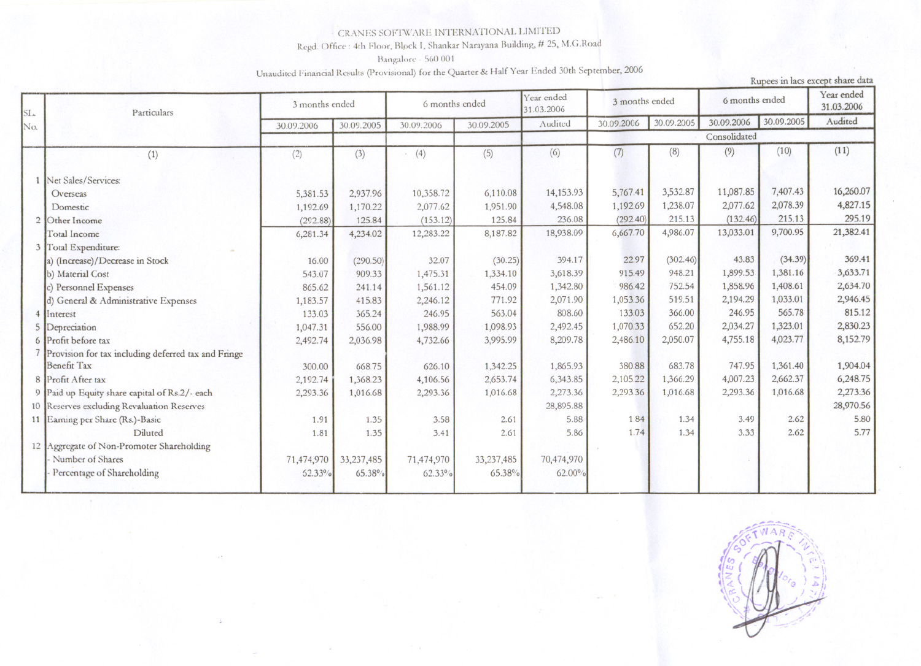## CRANES SOFTWARE INTERNATIONAL LIMITED

Regd. Office : 4th Floor, Block I, Shankar Narayana Building, # 25, M.G.Road

Bangalore - 560 001

Unaudited Financial Results (Provisional) for the Quarter & Half Year Ended 30th September, 2006

|            | Unaudited Financial Results (Frovisional) for the Quarter of Fight 3 car Entered Fina<br>Rupees in lacs except share data |                |            |                |            |                          |                |            |                |            |                          |  |
|------------|---------------------------------------------------------------------------------------------------------------------------|----------------|------------|----------------|------------|--------------------------|----------------|------------|----------------|------------|--------------------------|--|
| SL.<br>No. | Particulars                                                                                                               | 3 months ended |            | 6 months ended |            | Year ended<br>31.03.2006 | 3 months ended |            | 6 months ended |            | Year ended<br>31.03.2006 |  |
|            |                                                                                                                           | 30.09.2006     | 30.09.2005 | 30.09.2006     | 30.09.2005 | Audited                  | 30.09.2006     | 30.09.2005 | 30.09.2006     | 30.09.2005 | Audited                  |  |
|            |                                                                                                                           |                |            |                |            |                          | Consolidated   |            |                |            |                          |  |
|            | (1)                                                                                                                       | (2)            | (3)        | (4)            | (5)        | (6)                      | (7)            | (8)        | (9)            | (10)       | (11)                     |  |
|            | Net Sales/Services:                                                                                                       |                |            |                |            |                          |                |            |                |            |                          |  |
|            | Overseas                                                                                                                  | 5,381.53       | 2,937.96   | 10,358.72      | 6,110.08   | 14,153.93                | 5,767.41       | 3,532.87   | 11,087.85      | 7,407.43   | 16,260.07                |  |
|            | Domestic                                                                                                                  | 1,192.69       | 1,170.22   | 2,077.62       | 1,951.90   | 4,548.08                 | 1,192.69       | 1,238.07   | 2,077.62       | 2,078.39   | 4,827.15                 |  |
|            | Other Income                                                                                                              | (292.88)       | 125.84     | (153.12)       | 125.84     | 236.08                   | (292.40)       | 215.13     | (132.46)       | 215.13     | 295.19                   |  |
|            | <b>Total Income</b>                                                                                                       | 6,281.34       | 4,234.02   | 12,283.22      | 8,187.82   | 18,938.09                | 6,667.70       | 4,986.07   | 13,033.01      | 9,700.95   | 21,382.41                |  |
|            | Total Expenditure:                                                                                                        |                |            |                |            |                          |                |            |                |            |                          |  |
|            | a) (Increase)/Decrease in Stock                                                                                           | 16.00          | (290.50)   | 32.07          | (30.25)    | 394.17                   | 22.97          | (302.46)   | 43.83          | (34.39)    | 369.41                   |  |
|            | b) Material Cost                                                                                                          | 543.07         | 909.33     | 1,475.31       | 1,334.10   | 3,618.39                 | 915.49         | 948.21     | 1,899.53       | 1,381.16   | 3,633.71                 |  |
|            | c) Personnel Expenses                                                                                                     | 865.62         | 241.14     | 1,561.12       | 454.09     | 1,342.80                 | 986.42         | 752.54     | 1,858.96       | 1,408.61   | 2,634.70                 |  |
|            | d) General & Administrative Expenses                                                                                      | 1,183.57       | 415.83     | 2,246.12       | 771.92     | 2,071.90                 | 1,053.36       | 519.51     | 2,194.29       | 1,033.01   | 2,946.45                 |  |
|            | Interest                                                                                                                  | 133.03         | 365.24     | 246.95         | 563.04     | 808.60                   | 133.03         | 366.00     | 246.95         | 565.78     | 815.12                   |  |
|            | Depreciation                                                                                                              | 1,047.31       | 556.00     | 1,988.99       | 1,098.93   | 2,492.45                 | 1,070.33       | 652.20     | 2,034.27       | 1,323.01   | 2,830.23                 |  |
|            | Profit before tax                                                                                                         | 2,492.74       | 2,036.98   | 4,732.66       | 3,995.99   | 8,209.78                 | 2,486.10       | 2,050.07   | 4,755.18       | 4,023.77   | 8,152.79                 |  |
|            | Provision for tax including deferred tax and Fringe                                                                       |                |            |                |            |                          |                |            |                |            |                          |  |
|            | <b>Benefit Tax</b>                                                                                                        | 300.00         | 668.75     | 626.10         | 1,342.25   | 1,865.93                 | 380.88         | 683.78     | 747.95         | 1,361.40   | 1,904.04                 |  |
|            | 8 Profit After tax                                                                                                        | 2,192.74       | 1,368.23   | 4,106.56       | 2,653.74   | 6,343.85                 | 2,105.22       | 1,366.29   | 4,007.23       | 2,662.37   | 6,248.75                 |  |
|            | 9 Paid up Equity share capital of Rs.2/- each                                                                             | 2,293.36       | 1,016.68   | 2,293.36       | 1,016.68   | 2,273.36                 | 2,293.36       | 1,016.68   | 2,293.36       | 1,016.68   | 2,273.36                 |  |
|            | 10 Reserves excluding Revaluation Reserves                                                                                |                |            |                |            | 28,895.88                |                |            |                |            | 28,970.56                |  |
|            | 11 Earning per Share (Rs.)-Basic                                                                                          | 1.91           | 1.35       | 3.58           | 2.61       | 5.88                     | 1.84           | 1.34       | 3.49           | 2.62       | 5.80                     |  |
|            | Diluted                                                                                                                   | 1.81           | 1.35       | 3.41           | 2.61       | 5.86                     | 1.74           | 1.34       | 3.33           | 2.62       | 5.77                     |  |
|            | 12 Aggregate of Non-Promoter Shareholding                                                                                 |                |            |                |            |                          |                |            |                |            |                          |  |
|            | Number of Shares                                                                                                          | 71,474,970     | 33,237,485 | 71,474,970     | 33,237,485 | 70,474,970               |                |            |                |            |                          |  |
|            | Percentage of Shareholding                                                                                                | <b>62.33%</b>  | 65.38%     | $62.33\%$      | 65.38%     | 62.00%                   |                |            |                |            |                          |  |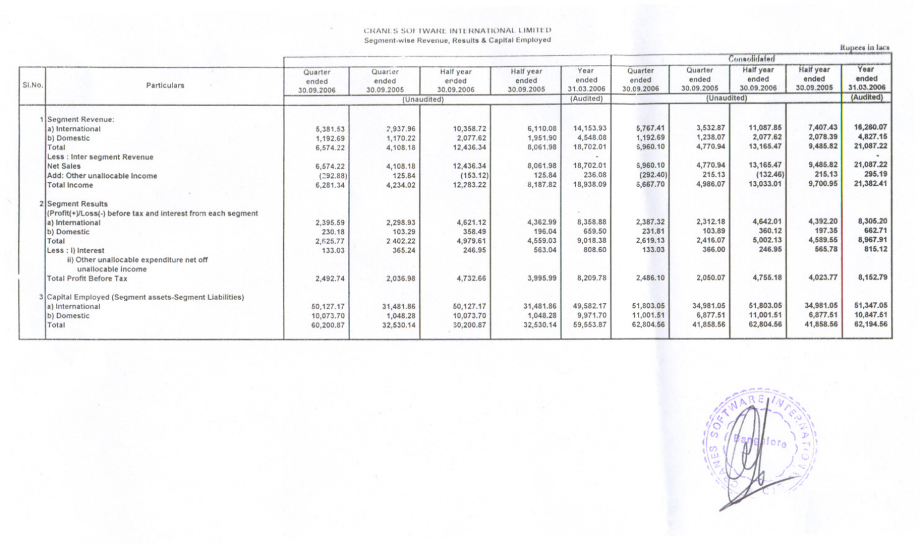## CRANLS SOFTWARE INTERNATIONAL LIMITED Segment-wise Revenue, Results & Capital Employed

**Rupees** in lacs

|                                |                                                              | Quarter    | Quarier     | Half year  | Half year  | Year       | Quarter     | Quarter    | Half year  | Half year  | Year       |
|--------------------------------|--------------------------------------------------------------|------------|-------------|------------|------------|------------|-------------|------------|------------|------------|------------|
|                                |                                                              | ended      | ended       | erded      | ended      | ended      | ended       | ended      | ended      | ended      | ended      |
| SI.No.                         | Particulars                                                  | 30.09.2006 | 30.09.2005  | 30.09.2006 | 30.09.2005 | 31.03.2006 | 30.09.2006  | 30.09.2005 | 30.09.2006 | 30.09.2005 | 31.03.2006 |
|                                |                                                              |            | (Unaudited) |            |            | (Audited)  | (Unaudited) |            |            | (Audited)  |            |
|                                |                                                              |            |             |            |            |            |             |            |            |            |            |
| 1 Segment Revenue:             |                                                              |            |             |            |            |            |             |            |            |            |            |
| a) International               |                                                              | 5,381.53   | 2,937.96    | 10,358.72  | 6,110.08   | 14, 153.93 | 5,767.41    | 3,532.87   | 11,087.85  | 7,407.43   | 16,260.07  |
| (b) Domestic                   |                                                              | 1,192.69   | 1,170.22    | 2,077.62   | 1,951.90   | 4,548.08   | 1,192.69    | 1,238.07   | 2.077.62   | 2,078.39   | 4,827.15   |
| Total                          |                                                              | 6,574.22   | 4,108.18    | 12,436.34  | 8,061.98   | 18,702.01  | 6,960.10    | 4,770.94   | 13, 165.47 | 9,485.82   | 21,087.22  |
|                                | Less : Inter segment Revenue                                 |            |             |            |            |            |             |            |            |            |            |
| <b>Net Sales</b>               |                                                              | 6,574.22   | 4,108.18    | 12,436.34  | 8,061.98   | 18,702.01  | 6,960.10    | 4,770.94   | 13, 165.47 | 9,485.82   | 21,087.22  |
|                                | Add: Other unallocable Income                                | (292.88)   | 125.84      | (153.12)   | 125.84     | 236.08     | (292.40)    | 215.13     | (132.46)   | 215.13     | 295.19     |
|                                |                                                              |            |             | 12,283.22  | 8,187.82   | 18,938.09  | 6,667.70    | 4,986.07   | 13,033.01  | 9,700.95   | 21,382.41  |
| <b>Total Income</b>            |                                                              | 6,281.34   | 4,234.02    |            |            |            |             |            |            |            |            |
| 2 Segment Results              |                                                              |            |             |            |            |            |             |            |            |            |            |
|                                | (Profit(+)/Loss(-) before tax and interest from each segment |            |             |            |            |            |             |            |            |            |            |
| a) International               |                                                              | 2,395.59   | 2,298.93    | 4,621.12   | 4,362.99   | 8,358.88   | 2,387.32    | 2,312.18   | 4,642.01   | 4,392.20   | 8,305.20   |
| b) Domestic                    |                                                              | 230.18     | 103.29      | 358.49     | 196.04     | 659.50     | 231.81      | 103.89     | 360.12     | 197.35     | 662.71     |
| Total                          |                                                              | 2,625.77   | 2.402.22    | 4,979.61   | 4,559.03   | 9,018.38   | 2,619.13    | 2,416.07   | 5,002.13   | 4,589.55   | 8,967.91   |
| Less : I) Interest             |                                                              | 133.03     | 365.24      | 246.95     | 563.04     | 808,60     | 133.03      | 366.00     | 246,95     | 565.78     | 815.12     |
|                                | ii) Other unallocable expenditure net off                    |            |             |            |            |            |             |            |            |            |            |
|                                | unallocable income                                           |            |             |            |            |            |             |            |            |            |            |
| <b>Total Profit Before Tax</b> |                                                              | 2,492.74   | 2,036.98    | 4,732.66   | 3,995.99   | 8,209.78   | 2,486.10    | 2,050.07   | 4,755.18   | 4,023.77   | 8,152.79   |
|                                |                                                              |            |             |            |            |            |             |            |            |            |            |
|                                | 3 Capital Employed (Segment assets-Segment Liabilities)      |            |             |            |            |            |             |            |            |            |            |
| a) International               |                                                              | 50.127.17  | 31,481.86   | 50,127.17  | 31,481.86  | 49,582.17  | 51,803.05   | 34,981.05  | 51,803.05  | 34,981.05  | 51,347.05  |
| b) Domestic                    |                                                              | 10,073,70  | 1,048.28    | 10,073.70  | 1,048.28   | 9,971.70   | 11,001.51   | 6,877.51   | 11,001.51  | 6,877.51   | 10,847.51  |
| Total                          |                                                              | 60,200.87  | 32,530.14   | 30,200.87  | 32,530.14  | 59,553.87  | 62,804.56   | 41,858.56  | 62,804.56  | 41,858.56  | 62,194.56  |
|                                |                                                              |            |             |            |            |            |             |            |            |            |            |